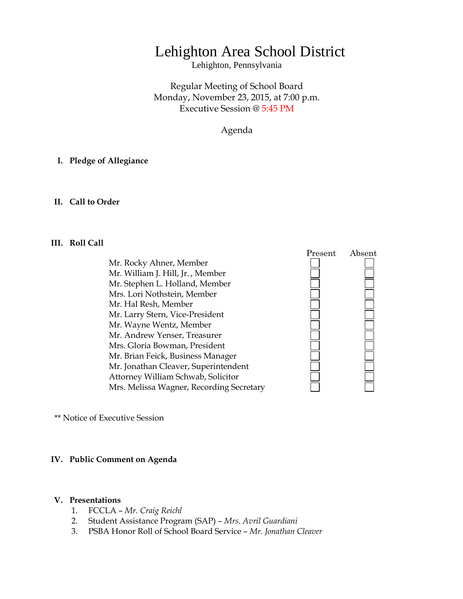# Lehighton Area School District

Lehighton, Pennsylvania

Regular Meeting of School Board Monday, November 23, 2015, at 7:00 p.m. Executive Session @ 5:45 PM

Agenda

#### **I. Pledge of Allegiance**

#### **II. Call to Order**

#### **III. Roll Call**

Mr. Rocky Ahner, Member Mr. William J. Hill, Jr. , Member Mr. Stephen L. Holland, Member Mrs. Lori Nothstein, Member Mr. Hal Resh, Member Mr. Larry Stern, Vice-President Mr. Wayne Wentz, Member Mr. Andrew Yenser, Treasurer Mrs. Gloria Bowman, President Mr. Brian Feick, Business Manager Mr. Jonathan Cleaver, Superintendent Attorney William Schwab, Solicitor Mrs. Melissa Wagner, Recording Secretary



\*\* Notice of Executive Session

#### **IV. Public Comment on Agenda**

#### **V. Presentations**

- 1. FCCLA *Mr. Craig Reichl*
- 2. Student Assistance Program (SAP) *Mrs. Avril Guardiani*
- 3. PSBA Honor Roll of School Board Service *Mr. Jonathan Cleaver*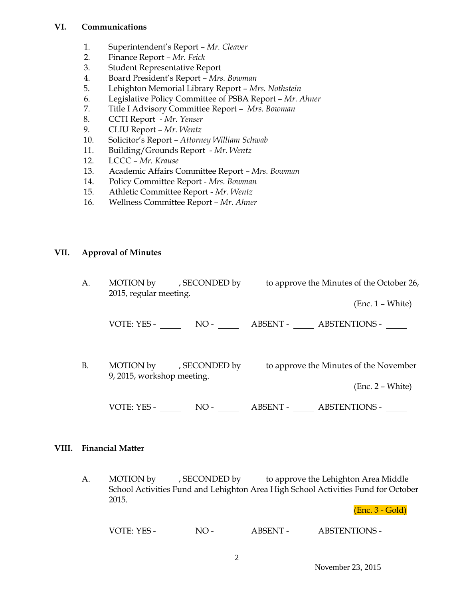## **VI. Communications**

- 1. Superintendent's Report *Mr. Cleaver*
- 2. Finance Report *Mr. Feick*
- 3. Student Representative Report
- 4. Board President's Report *Mrs. Bowman*
- 5. Lehighton Memorial Library Report *Mrs. Nothstein*
- 6. Legislative Policy Committee of PSBA Report *Mr. Ahner*
- 7. Title I Advisory Committee Report *Mrs. Bowman*
- 8. CCTI Report *Mr. Yenser*
- 9. CLIU Report *Mr. Wentz*
- 10. Solicitor's Report *Attorney William Schwab*
- 11. Building/Grounds Report *Mr. Wentz*
- 12. LCCC *– Mr. Krause*
- 13. Academic Affairs Committee Report *Mrs. Bowman*
- 14. Policy Committee Report *Mrs. Bowman*
- 15. Athletic Committee Report *Mr. Wentz*
- 16. Wellness Committee Report *Mr. Ahner*

## **VII. Approval of Minutes**

| A.        | MOTION by , SECONDED by<br>2015, regular meeting.     |       | to approve the Minutes of the October 26, |                                                              |
|-----------|-------------------------------------------------------|-------|-------------------------------------------|--------------------------------------------------------------|
|           |                                                       |       |                                           | $(Enc. 1 - White)$                                           |
|           | VOTE: YES -                                           |       |                                           | NO - ABSENT - ABSTENTIONS -                                  |
| <b>B.</b> | MOTION by , SECONDED by<br>9, 2015, workshop meeting. |       |                                           | to approve the Minutes of the November<br>$(Enc. 2 - White)$ |
|           | VOTE: YES -                                           | $NO-$ | ABSENT -                                  | <b>ABSTENTIONS -</b>                                         |

#### **VIII. Financial Matter**

A. MOTION by , SECONDED by to approve the Lehighton Area Middle School Activities Fund and Lehighton Area High School Activities Fund for October 2015.

(Enc. 3 - Gold)

VOTE: YES - NO - NO - ABSENT - ABSTENTIONS -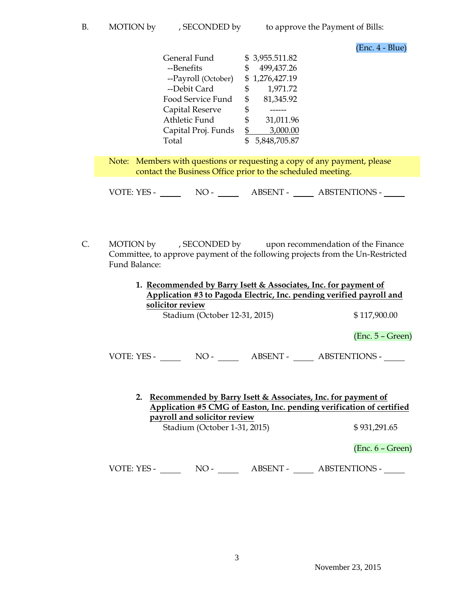(Enc. 4 - Blue)

| General Fund        | \$3,955.511.82  |
|---------------------|-----------------|
| --Benefits          | 499,437.26      |
| --Payroll (October) | \$1,276,427.19  |
| --Debit Card        | 1,971.72<br>\$  |
| Food Service Fund   | 81,345.92<br>\$ |
| Capital Reserve     | \$              |
| Athletic Fund       | 31,011.96<br>S  |
| Capital Proj. Funds | 3,000.00<br>\$  |
| Total               | 5,848,705.87    |

Note: Members with questions or requesting a copy of any payment, please contact the Business Office prior to the scheduled meeting.

VOTE: YES - NO - ABSENT - ABSTENTIONS -

- C. MOTION by , SECONDED by upon recommendation of the Finance Committee, to approve payment of the following projects from the Un-Restricted Fund Balance:
	- **1. Recommended by Barry Isett & Associates, Inc. for payment of Application #3 to Pagoda Electric, Inc. pending verified payroll and solicitor review**

Stadium (October 12-31, 2015) \$117,900.00

(Enc. 5 – Green)

VOTE: YES - NO - NO - ABSENT - ABSTENTIONS -

**2. Recommended by Barry Isett & Associates, Inc. for payment of Application #5 CMG of Easton, Inc. pending verification of certified payroll and solicitor review** Stadium (October 1-31, 2015) \$931,291.65

(Enc. 6 – Green)

VOTE: YES - NO - NO - ABSENT - ABSTENTIONS -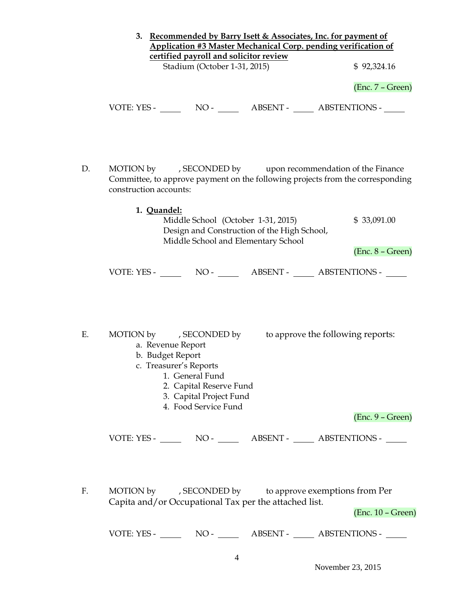|    | 3. Recommended by Barry Isett & Associates, Inc. for payment of<br><b>Application #3 Master Mechanical Corp. pending verification of</b><br>certified payroll and solicitor review                                            |                     |
|----|-------------------------------------------------------------------------------------------------------------------------------------------------------------------------------------------------------------------------------|---------------------|
|    | Stadium (October 1-31, 2015)                                                                                                                                                                                                  | \$92,324.16         |
|    |                                                                                                                                                                                                                               | $(Enc. 7 - Green)$  |
|    |                                                                                                                                                                                                                               |                     |
| D. | MOTION by , SECONDED by upon recommendation of the Finance<br>Committee, to approve payment on the following projects from the corresponding<br>construction accounts:                                                        |                     |
|    | 1. Quandel:<br>Middle School (October 1-31, 2015)<br>Design and Construction of the High School,<br>Middle School and Elementary School                                                                                       | \$33,091.00         |
|    |                                                                                                                                                                                                                               | $(Enc. 8 - Green)$  |
|    | VOTE: YES - NO - NO - ABSENT - ABSTENTIONS -                                                                                                                                                                                  |                     |
| Ε. | MOTION by , SECONDED by to approve the following reports:<br>a. Revenue Report<br>b. Budget Report<br>c. Treasurer's Reports<br>1. General Fund<br>2. Capital Reserve Fund<br>3. Capital Project Fund<br>4. Food Service Fund |                     |
|    |                                                                                                                                                                                                                               | $(Enc. 9 - Green)$  |
|    |                                                                                                                                                                                                                               |                     |
| F. | MOTION by , SECONDED by to approve exemptions from Per<br>Capita and/or Occupational Tax per the attached list.                                                                                                               | $(Enc. 10 - Green)$ |
|    |                                                                                                                                                                                                                               |                     |
|    | 4                                                                                                                                                                                                                             |                     |

November 23, 2015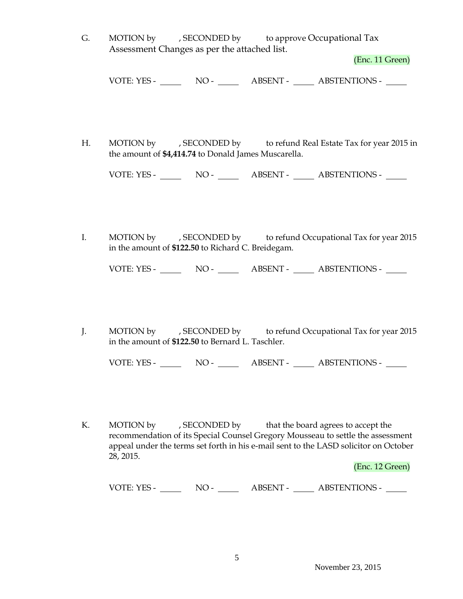G. MOTION by , SECONDED by to approve Occupational Tax Assessment Changes as per the attached list.

(Enc. 11 Green)

VOTE: YES - NO - ABSENT - ABSTENTIONS -

H. MOTION by , SECONDED by to refund Real Estate Tax for year 2015 in the amount of **\$4,414.74** to Donald James Muscarella.

VOTE: YES - NO - ABSENT - ABSTENTIONS -

I. MOTION by , SECONDED by to refund Occupational Tax for year 2015 in the amount of **\$122.50** to Richard C. Breidegam.

VOTE: YES - NO - NO - ABSENT - ABSTENTIONS -

J. MOTION by , SECONDED by to refund Occupational Tax for year 2015 in the amount of **\$122.50** to Bernard L. Taschler.

VOTE: YES - NO - ABSENT - ABSTENTIONS -

K. MOTION by , SECONDED by that the board agrees to accept the recommendation of its Special Counsel Gregory Mousseau to settle the assessment appeal under the terms set forth in his e-mail sent to the LASD solicitor on October 28, 2015.

(Enc. 12 Green)

VOTE: YES - NO - ABSENT - ABSTENTIONS -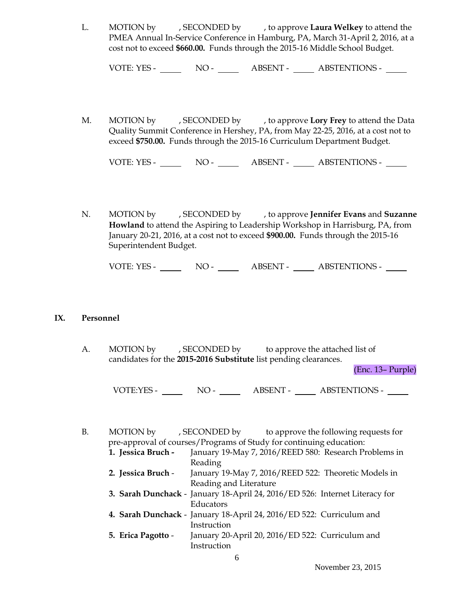L. MOTION by , SECONDED by , to approve **Laura Welkey** to attend the PMEA Annual In-Service Conference in Hamburg, PA, March 31-April 2, 2016, at a cost not to exceed **\$660.00.** Funds through the 2015-16 Middle School Budget.

VOTE: YES - NO - ABSENT - ABSTENTIONS -

M. MOTION by , SECONDED by , to approve **Lory Frey** to attend the Data Quality Summit Conference in Hershey, PA, from May 22-25, 2016, at a cost not to exceed **\$750.00.** Funds through the 2015-16 Curriculum Department Budget.

VOTE: YES - NO - ABSENT - ABSTENTIONS -

N. MOTION by , SECONDED by , to approve **Jennifer Evans** and **Suzanne Howland** to attend the Aspiring to Leadership Workshop in Harrisburg, PA, from January 20-21, 2016, at a cost not to exceed **\$900.00.** Funds through the 2015-16 Superintendent Budget.

VOTE: YES - NO - ABSENT - ABSTENTIONS -

#### **IX. Personnel**

A. MOTION by , SECONDED by to approve the attached list of candidates for the **2015-2016 Substitute** list pending clearances.

(Enc. 13– Purple)

VOTE:YES - NO - \_\_\_ ABSENT - \_\_\_ ABSTENTIONS - \_\_\_

B. MOTION by , SECONDED by to approve the following requests for pre-approval of courses/Programs of Study for continuing education:

- **1. Jessica Bruch -** January 19-May 7, 2016/REED 580: Research Problems in Reading
- **2. Jessica Bruch** January 19-May 7, 2016/REED 522: Theoretic Models in Reading and Literature
- **3. Sarah Dunchack** January 18-April 24, 2016/ED 526: Internet Literacy for Educators
- **4. Sarah Dunchack**  January 18-April 24, 2016/ED 522: Curriculum and Instruction
- **5. Erica Pagotto**  January 20-April 20, 2016/ED 522: Curriculum and Instruction

6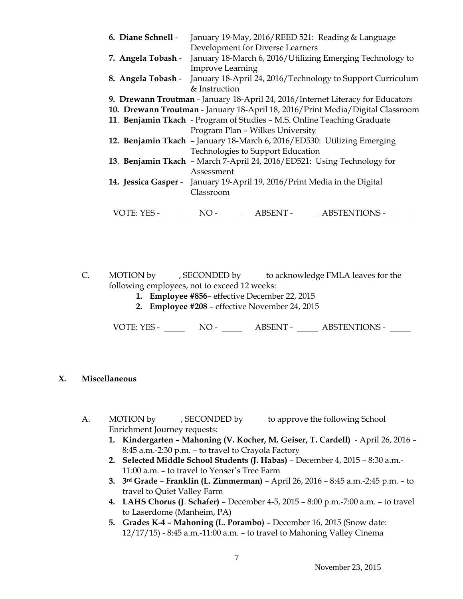| 6. Diane Schnell - | January 19-May, 2016/REED 521: Reading & Language                               |  |  |  |  |  |
|--------------------|---------------------------------------------------------------------------------|--|--|--|--|--|
|                    | Development for Diverse Learners                                                |  |  |  |  |  |
| 7. Angela Tobash - | January 18-March 6, 2016/Utilizing Emerging Technology to                       |  |  |  |  |  |
|                    | <b>Improve Learning</b>                                                         |  |  |  |  |  |
|                    | 8. Angela Tobash - January 18-April 24, 2016/Technology to Support Curriculum   |  |  |  |  |  |
|                    | & Instruction                                                                   |  |  |  |  |  |
|                    | 9. Drewann Troutman - January 18-April 24, 2016/Internet Literacy for Educators |  |  |  |  |  |
|                    | 10. Drewann Troutman - January 18-April 18, 2016/Print Media/Digital Classroom  |  |  |  |  |  |
|                    | 11. Benjamin Tkach - Program of Studies - M.S. Online Teaching Graduate         |  |  |  |  |  |
|                    | Program Plan - Wilkes University                                                |  |  |  |  |  |
|                    | 12. Benjamin Tkach - January 18-March 6, 2016/ED530: Utilizing Emerging         |  |  |  |  |  |
|                    | Technologies to Support Education                                               |  |  |  |  |  |
|                    | 13. Benjamin Tkach - March 7-April 24, 2016/ED521: Using Technology for         |  |  |  |  |  |
|                    | Assessment                                                                      |  |  |  |  |  |
|                    | 14. Jessica Gasper - January 19-April 19, 2016/Print Media in the Digital       |  |  |  |  |  |
|                    | Classroom                                                                       |  |  |  |  |  |
|                    |                                                                                 |  |  |  |  |  |
| VOTE: YES -        | ABSENT - ABSTENTIONS -<br>$NO-$                                                 |  |  |  |  |  |
|                    |                                                                                 |  |  |  |  |  |

C. MOTION by , SECONDED by to acknowledge FMLA leaves for the following employees, not to exceed 12 weeks:

- **1. Employee #856** effective December 22, 2015
- **2. Employee #208**  effective November 24, 2015

VOTE: YES - NO - NO - ABSENT - ABSTENTIONS - NO

## **X. Miscellaneous**

- A. MOTION by , SECONDED by to approve the following School Enrichment Journey requests:
	- **1. Kindergarten – Mahoning (V. Kocher, M. Geiser, T. Cardell)**  April 26, 2016 8:45 a.m.-2:30 p.m. – to travel to Crayola Factory
	- **2. Selected Middle School Students (J. Habas)** December 4, 2015 8:30 a.m.- 11:00 a.m. – to travel to Yenser's Tree Farm
	- **3. 3rd Grade Franklin (L. Zimmerman)** April 26, 2016 8:45 a.m.-2:45 p.m. to travel to Quiet Valley Farm
	- **4. LAHS Chorus (J**. **Schafer)** December 4-5, 2015 8:00 p.m.-7:00 a.m. to travel to Laserdome (Manheim, PA)
	- **5. Grades K-4 – Mahoning (L. Porambo)** December 16, 2015 (Snow date: 12/17/15) - 8:45 a.m.-11:00 a.m. – to travel to Mahoning Valley Cinema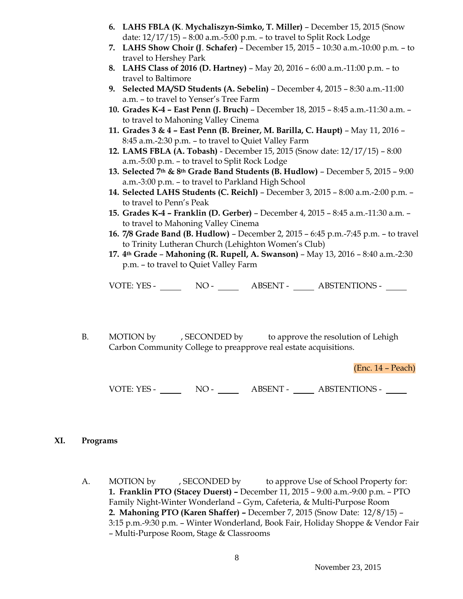- **6. LAHS FBLA (K**. **Mychaliszyn-Simko, T. Miller)** December 15, 2015 (Snow date: 12/17/15) – 8:00 a.m.-5:00 p.m. – to travel to Split Rock Lodge
- **7. LAHS Show Choir (J**. **Schafer)** December 15, 2015 10:30 a.m.-10:00 p.m. to travel to Hershey Park
- **8. LAHS Class of 2016 (D. Hartney)** May 20, 2016 6:00 a.m.-11:00 p.m. to travel to Baltimore
- **9. Selected MA/SD Students (A. Sebelin)** December 4, 2015 8:30 a.m.-11:00 a.m. – to travel to Yenser's Tree Farm
- **10. Grades K-4 – East Penn (J. Bruch)** December 18, 2015 8:45 a.m.-11:30 a.m. to travel to Mahoning Valley Cinema
- **11. Grades 3 & 4 – East Penn (B. Breiner, M. Barilla, C. Haupt)** May 11, 2016 8:45 a.m.-2:30 p.m. – to travel to Quiet Valley Farm
- **12. LAMS FBLA (A. Tobash)** December 15, 2015 (Snow date: 12/17/15) 8:00 a.m.-5:00 p.m. – to travel to Split Rock Lodge
- **13. Selected 7th & 8th Grade Band Students (B. Hudlow)** December 5, 2015 9:00 a.m.-3:00 p.m. – to travel to Parkland High School
- **14. Selected LAHS Students (C. Reichl)** December 3, 2015 8:00 a.m.-2:00 p.m. to travel to Penn's Peak
- **15. Grades K-4 – Franklin (D. Gerber)** December 4, 2015 8:45 a.m.-11:30 a.m. to travel to Mahoning Valley Cinema
- **16. 7/8 Grade Band (B. Hudlow)** December 2, 2015 6:45 p.m.-7:45 p.m. to travel to Trinity Lutheran Church (Lehighton Women's Club)
- **17. 4th Grade Mahoning (R. Rupell, A. Swanson)** May 13, 2016 8:40 a.m.-2:30 p.m. – to travel to Quiet Valley Farm

VOTE: YES - NO - NO - ABSENT - ABSTENTIONS -

B. MOTION by , SECONDED by to approve the resolution of Lehigh Carbon Community College to preapprove real estate acquisitions.

(Enc. 14 – Peach)

VOTE: YES - NO - NO - ABSENT - ABSTENTIONS -

#### **XI. Programs**

A. MOTION by , SECONDED by to approve Use of School Property for: **1. Franklin PTO (Stacey Duerst) –** December 11, 2015 – 9:00 a.m.-9:00 p.m. – PTO Family Night-Winter Wonderland – Gym, Cafeteria, & Multi-Purpose Room **2. Mahoning PTO (Karen Shaffer) –** December 7, 2015 (Snow Date: 12/8/15) – 3:15 p.m.-9:30 p.m. – Winter Wonderland, Book Fair, Holiday Shoppe & Vendor Fair – Multi-Purpose Room, Stage & Classrooms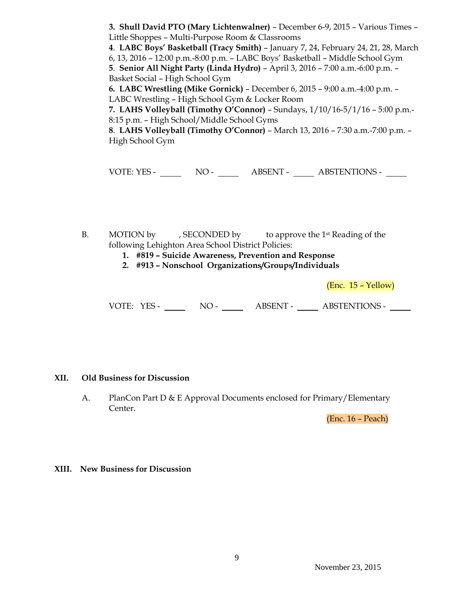**3. Shull David PTO (Mary Lichtenwalner)** – December 6-9, 2015 – Various Times – Little Shoppes – Multi-Purpose Room & Classrooms

**4**. **LABC Boys' Basketball (Tracy Smith)** – January 7, 24, February 24, 21, 28, March

6, 13, 2016 – 12:00 p.m.-8:00 p.m. – LABC Boys' Basketball – Middle School Gym **5**. **Senior All Night Party (Linda Hydro)** – April 3, 2016 – 7:00 a.m.-6:00 p.m. –

Basket Social – High School Gym

**6. LABC Wrestling (Mike Gornick)** – December 6, 2015 – 9:00 a.m.-4:00 p.m. – LABC Wrestling – High School Gym & Locker Room

**7. LAHS Volleyball (Timothy O'Connor)** – Sundays, 1/10/16-5/1/16 – 5:00 p.m.- 8:15 p.m. – High School/Middle School Gyms

**8**. **LAHS Volleyball (Timothy O'Connor)** – March 13, 2016 – 7:30 a.m.-7:00 p.m. – High School Gym

VOTE: YES - NO - NO - ABSENT - ABSTENTIONS -

- B. MOTION by , SECONDED by to approve the 1st Reading of the following Lehighton Area School District Policies:
	- **1. #819 – Suicide Awareness, Prevention and Response**
	- **2. #913 – Nonschool Organizations/Groups/Individuals**

(Enc. 15 – Yellow)

VOTE: YES - NO - NO - ABSENT - ABSTENTIONS - NO

#### **XII. Old Business for Discussion**

A. PlanCon Part D & E Approval Documents enclosed for Primary/Elementary Center.

(Enc. 16 – Peach)

#### **XIII. New Business for Discussion**